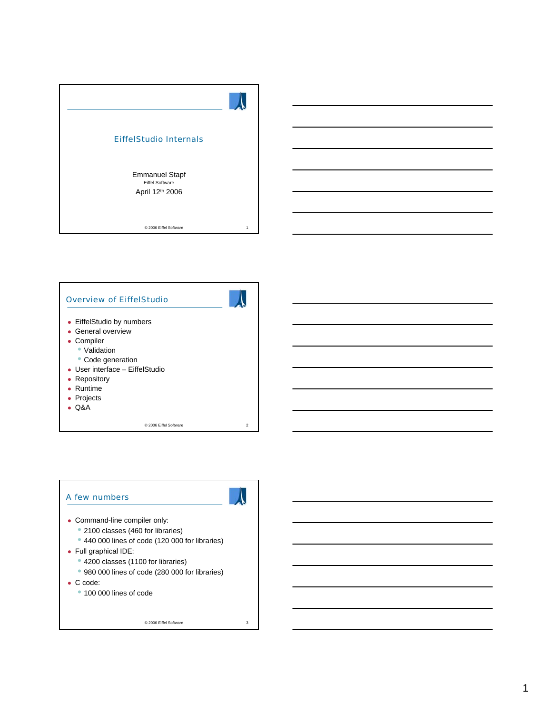| <b>EiffelStudio Internals</b>                                      |   |
|--------------------------------------------------------------------|---|
| <b>Emmanuel Stapf</b><br><b>Eiffel Software</b><br>April 12th 2006 |   |
| C 2006 Eiffel Software                                             | 1 |



### A few numbers



- Command-line compiler only:
	- 2100 classes (460 for libraries)
	- 440 000 lines of code (120 000 for libraries)
- Full graphical IDE:
	- 4200 classes (1100 for libraries)
	- 980 000 lines of code (280 000 for libraries)
- $\bullet$  C code:
	- 100 000 lines of code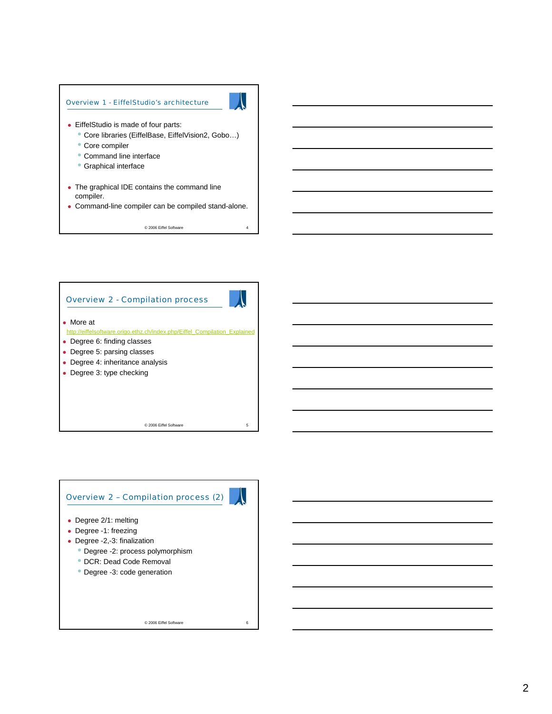



# Overview 2 – Compilation process (2)



- Degree 2/1: melting
- Degree -1: freezing
- Degree -2,-3: finalization
	- Degree -2: process polymorphism
	- DCR: Dead Code Removal
	- Degree -3: code generation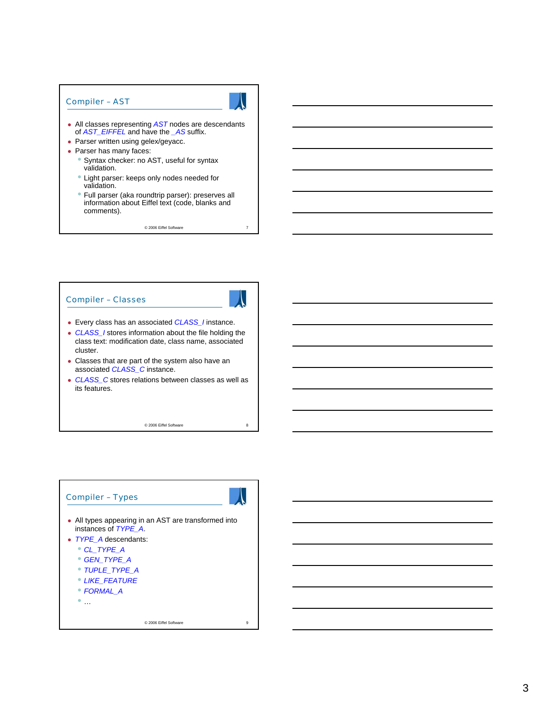#### Compiler – AST

- All classes representing **AST** nodes are descendants of *AST\_EIFFEL* and have the *\_AS* suffix.
- Parser written using gelex/geyacc.
- Parser has many faces:
	- Syntax checker: no AST, useful for syntax validation.
	- Light parser: keeps only nodes needed for validation.
	- Full parser (aka roundtrip parser): preserves all information about Eiffel text (code, blanks and comments).

© 2006 Eiffel Software 7

#### Compiler – Classes



- Every class has an associated **CLASS\_I** instance.
- CLASS *I* stores information about the file holding the class text: modification date, class name, associated cluster.
- Classes that are part of the system also have an associated *CLASS\_C* instance.
- CLASS\_C stores relations between classes as well as its features.

© 2006 Eiffel Software 8

# Compiler – Types • All types appearing in an AST are transformed into instances of *TYPE\_A*. • *TYPE* A descendants: • *CL\_TYPE\_A* • *GEN\_TYPE\_A* • *TUPLE\_TYPE\_A* • *LIKE\_FEATURE* • *FORMAL\_A*  $\bullet$  …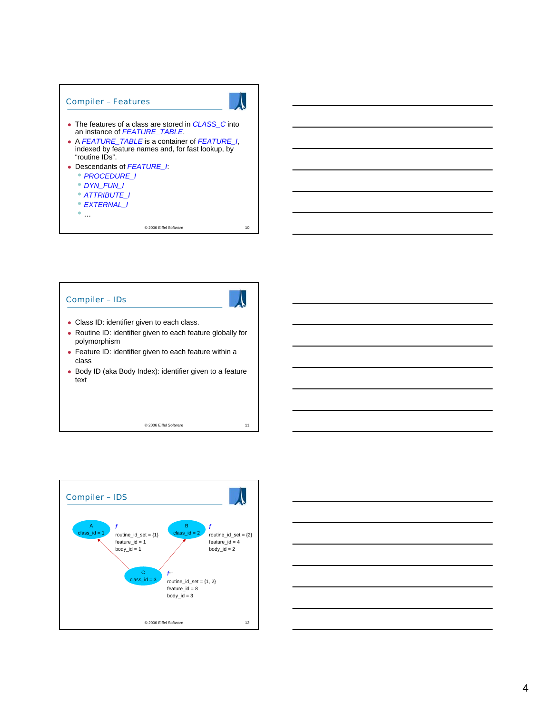

## Compiler – IDs



- Class ID: identifier given to each class.
- Routine ID: identifier given to each feature globally for polymorphism
- Feature ID: identifier given to each feature within a class
- Body ID (aka Body Index): identifier given to a feature text



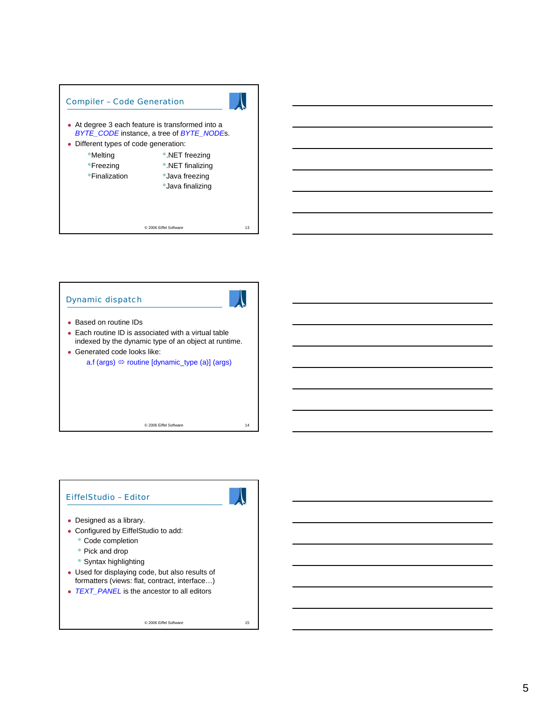







- Configured by EiffelStudio to add:
	- Code completion
	- Pick and drop
	- Syntax highlighting
- Used for displaying code, but also results of formatters (views: flat, contract, interface…)
- TEXT\_PANEL is the ancestor to all editors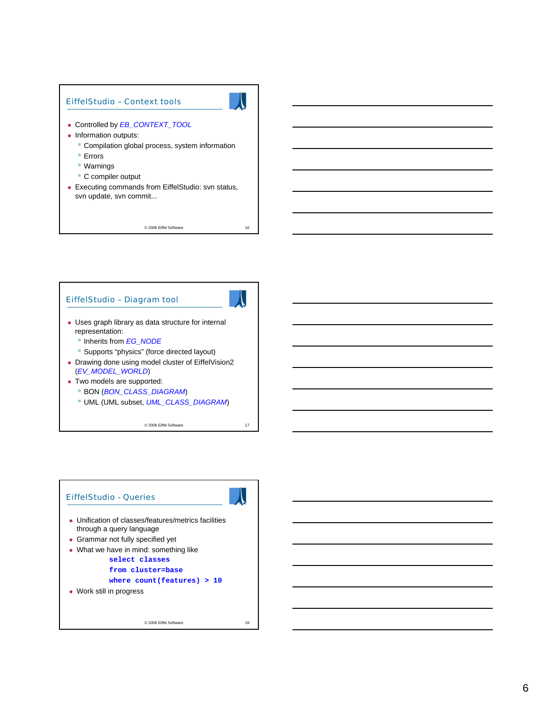

#### EiffelStudio – Diagram tool



- $\bullet$  Uses graph library as data structure for internal representation:
	- Inherits from *EG\_NODE*
	- Supports "physics" (force directed layout)
- Drawing done using model cluster of EiffelVision2 (*EV\_MODEL\_WORLD*)
- Two models are supported: • BON (*BON\_CLASS\_DIAGRAM*)
	- UML (UML subset, *UML\_CLASS\_DIAGRAM*)

© 2006 Eiffel Software 17

EiffelStudio - Queries • Unification of classes/features/metrics facilities through a query language • Grammar not fully specified yet • What we have in mind: something like **select classes from cluster=base where count(features) > 10** • Work still in progress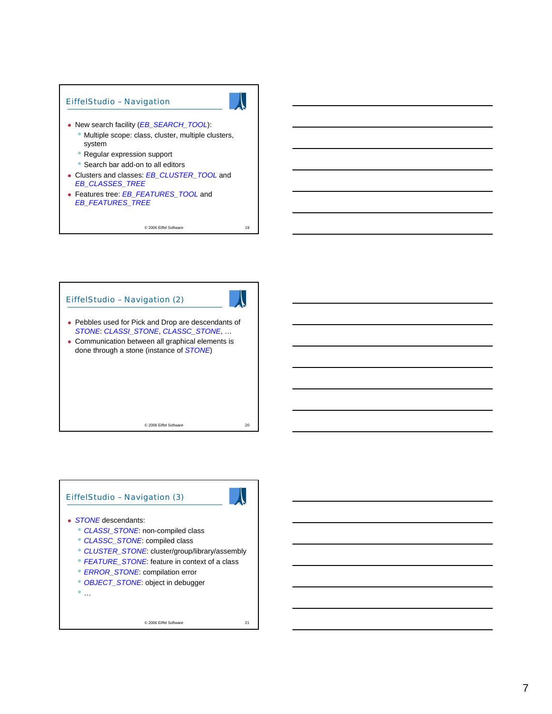

© 2006 Eiffel Software 19

EiffelStudio – Navigation (2)



- Pebbles used for Pick and Drop are descendants of *STONE*: *CLASSI\_STONE*, *CLASSC\_STONE*, …
- Communication between all graphical elements is done through a stone (instance of *STONE*)

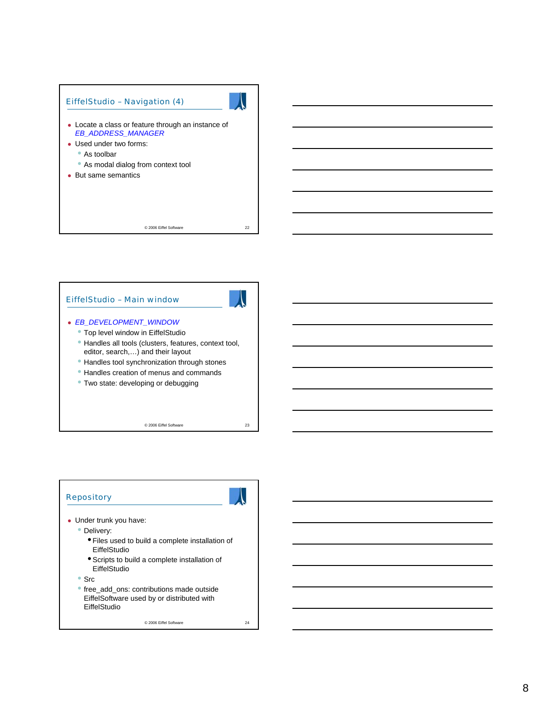

# EiffelStudio – Main window

#### <sup>z</sup> *EB\_DEVELOPMENT\_WINDOW*

- Top level window in EiffelStudio
- Handles all tools (clusters, features, context tool, editor, search,…) and their layout
- Handles tool synchronization through stones
- Handles creation of menus and commands
- Two state: developing or debugging

© 2006 Eiffel Software 23

### **Repository**



- Delivery:
	- Files used to build a complete installation of EiffelStudio
	- Scripts to build a complete installation of **EiffelStudio**
- Src
- free\_add\_ons: contributions made outside EiffelSoftware used by or distributed with EiffelStudio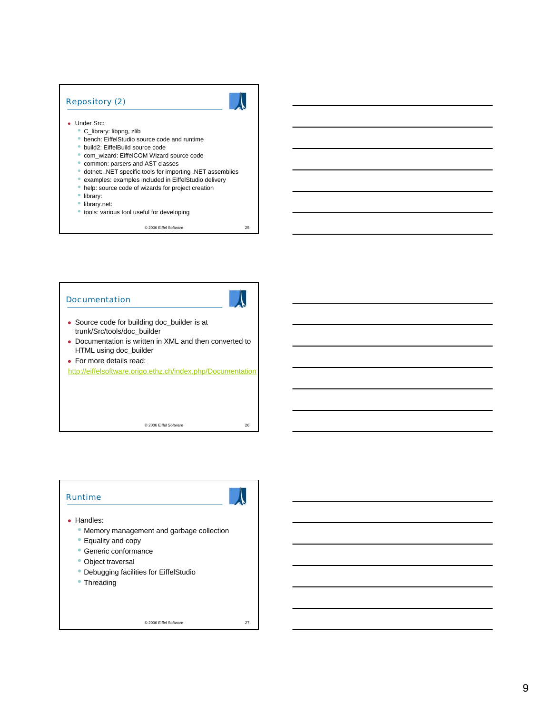#### Repository (2)

- Under Src:
	- C\_library: libpng, zlib
	- bench: EiffelStudio source code and runtime
	- build2: EiffelBuild source code
	- com\_wizard: EiffelCOM Wizard source code
	- common: parsers and AST classes
	- dotnet: .NET specific tools for importing .NET assemblies
	- examples: examples included in EiffelStudio delivery
	- help: source code of wizards for project creation
	- library:
	- library.net:
	- tools: various tool useful for developing

© 2006 Eiffel Software 25

# Documentation



- Source code for building doc\_builder is at trunk/Src/tools/doc\_builder
- Documentation is written in XML and then converted to HTML using doc\_builder
- For more details read:

http://eiffelsoftware.origo.ethz.ch/index.php/Documentation

© 2006 Eiffel Software 26

#### Runtime



- Memory management and garbage collection
- Equality and copy
- Generic conformance
- Object traversal
- Debugging facilities for EiffelStudio
- Threading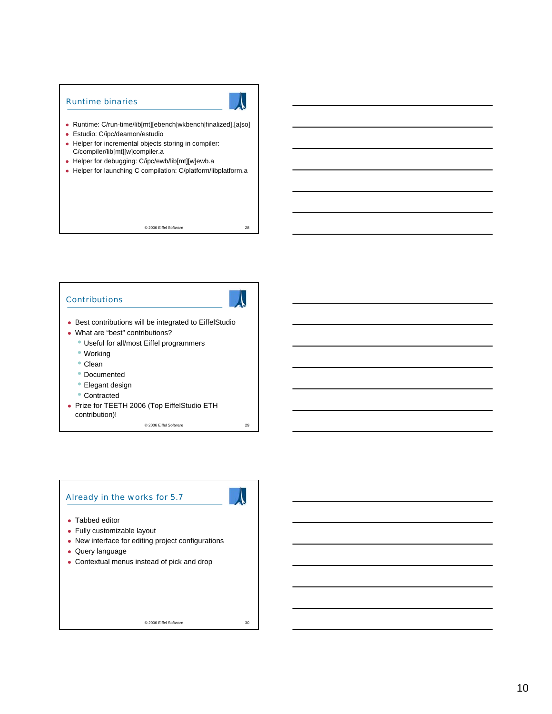#### Runtime binaries

- Runtime: C/run-time/lib[mt][ebench|wkbench|finalized].[a|so]
- Estudio: C/ipc/deamon/estudio
- Helper for incremental objects storing in compiler: C/compiler/lib[mt][w]compiler.a
- Helper for debugging: C/ipc/ewb/lib[mt][w]ewb.a
- Helper for launching C compilation: C/platform/libplatform.a

© 2006 Eiffel Software 28

#### **Contributions**



- Best contributions will be integrated to EiffelStudio
- What are "best" contributions?
	- Useful for all/most Eiffel programmers
	- Working
	- Clean
	- Documented
	- Elegant design
	- Contracted
- Prize for TEETH 2006 (Top EiffelStudio ETH contribution)!

© 2006 Eiffel Software 29

#### Already in the works for 5.7



- Tabbed editor
- Fully customizable layout
- New interface for editing project configurations
- Query language
- Contextual menus instead of pick and drop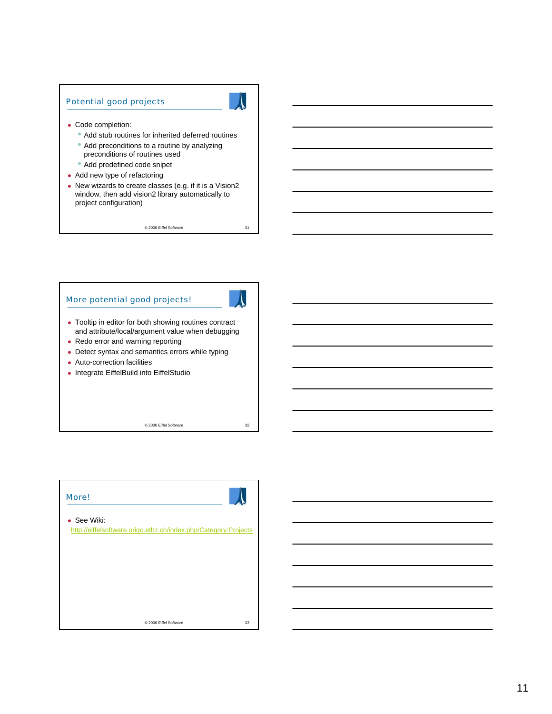#### Potential good projects



- Code completion:
	- Add stub routines for inherited deferred routines
	- Add preconditions to a routine by analyzing preconditions of routines used
	- Add predefined code snipet
- $\bullet$  Add new type of refactoring
- New wizards to create classes (e.g. if it is a Vision2 window, then add vision2 library automatically to project configuration)

© 2006 Eiffel Software 31

#### More potential good projects!



- Tooltip in editor for both showing routines contract and attribute/local/argument value when debugging
- Redo error and warning reporting
- Detect syntax and semantics errors while typing
- Auto-correction facilities
- Integrate EiffelBuild into EiffelStudio